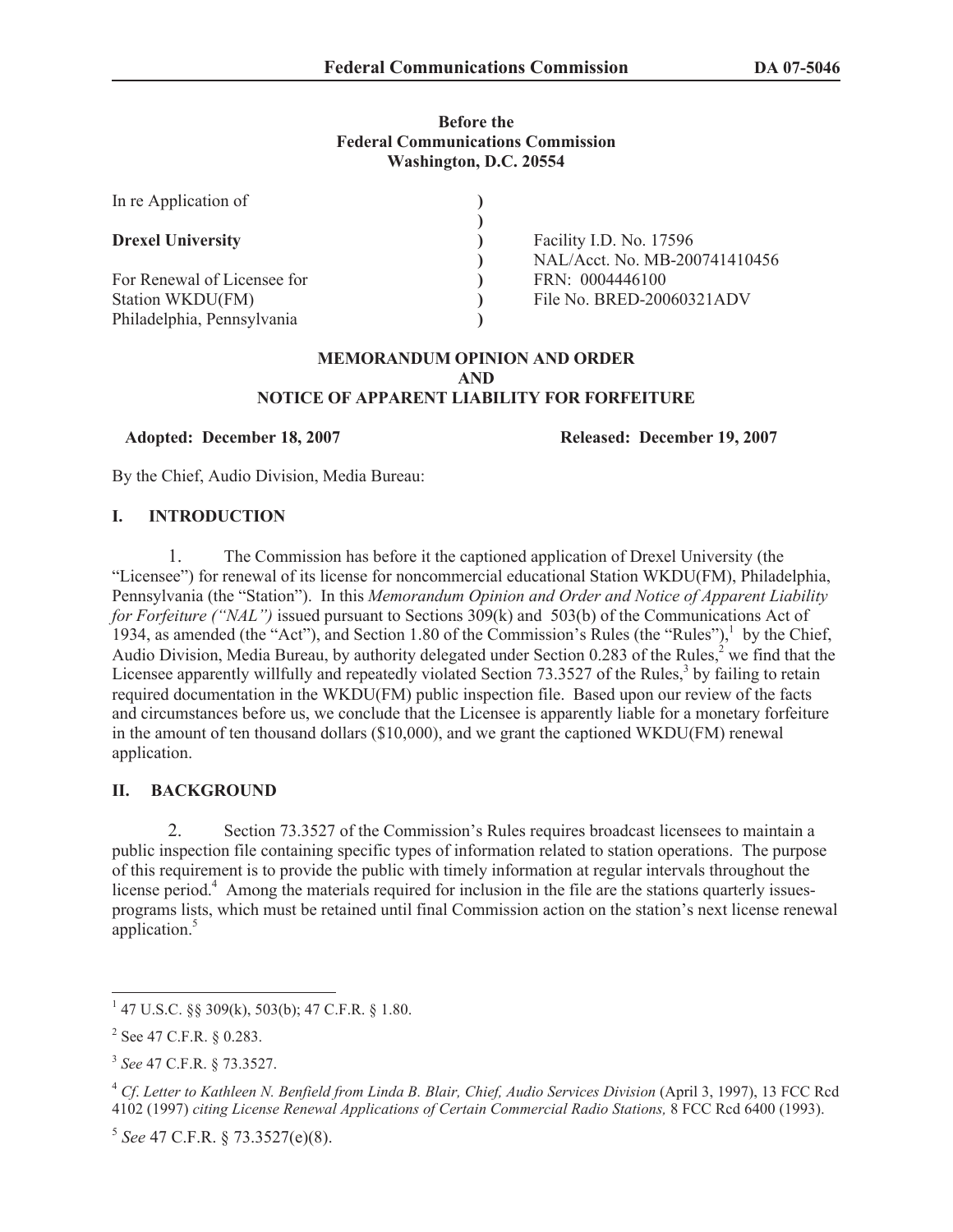### **Before the Federal Communications Commission Washington, D.C. 20554**

| In re Application of        |                               |
|-----------------------------|-------------------------------|
|                             |                               |
| <b>Drexel University</b>    | Facility I.D. No. 17596       |
|                             | NAL/Acct. No. MB-200741410456 |
| For Renewal of Licensee for | FRN: 0004446100               |
| Station WKDU(FM)            | File No. BRED-20060321ADV     |
| Philadelphia, Pennsylvania  |                               |

#### **MEMORANDUM OPINION AND ORDER AND NOTICE OF APPARENT LIABILITY FOR FORFEITURE**

**Adopted: December 18, 2007 Released: December 19, 2007**

By the Chief, Audio Division, Media Bureau:

## **I. INTRODUCTION**

1. The Commission has before it the captioned application of Drexel University (the "Licensee") for renewal of its license for noncommercial educational Station WKDU(FM), Philadelphia, Pennsylvania (the "Station"). In this *Memorandum Opinion and Order and Notice of Apparent Liability for Forfeiture ("NAL")* issued pursuant to Sections 309(k) and 503(b) of the Communications Act of 1934, as amended (the "Act"), and Section 1.80 of the Commission's Rules (the "Rules"),<sup>1</sup> by the Chief, Audio Division, Media Bureau, by authority delegated under Section 0.283 of the Rules, $<sup>2</sup>$  we find that the</sup> Licensee apparently willfully and repeatedly violated Section  $73.3527$  of the Rules,<sup>3</sup> by failing to retain required documentation in the WKDU(FM) public inspection file. Based upon our review of the facts and circumstances before us, we conclude that the Licensee is apparently liable for a monetary forfeiture in the amount of ten thousand dollars (\$10,000), and we grant the captioned WKDU(FM) renewal application.

# **II. BACKGROUND**

2. Section 73.3527 of the Commission's Rules requires broadcast licensees to maintain a public inspection file containing specific types of information related to station operations. The purpose of this requirement is to provide the public with timely information at regular intervals throughout the license period.<sup>4</sup> Among the materials required for inclusion in the file are the stations quarterly issuesprograms lists, which must be retained until final Commission action on the station's next license renewal application.<sup>5</sup>

 $1$  47 U.S.C. §§ 309(k), 503(b); 47 C.F.R. § 1.80.

 $2^2$  See 47 C.F.R. § 0.283.

<sup>3</sup> *See* 47 C.F.R. § 73.3527.

<sup>&</sup>lt;sup>4</sup> Cf. Letter to Kathleen N. Benfield from Linda B. Blair, Chief, Audio Services Division (April 3, 1997), 13 FCC Rcd 4102 (1997) *citing License Renewal Applications of Certain Commercial Radio Stations,* 8 FCC Rcd 6400 (1993).

<sup>5</sup> *See* 47 C.F.R. § 73.3527(e)(8).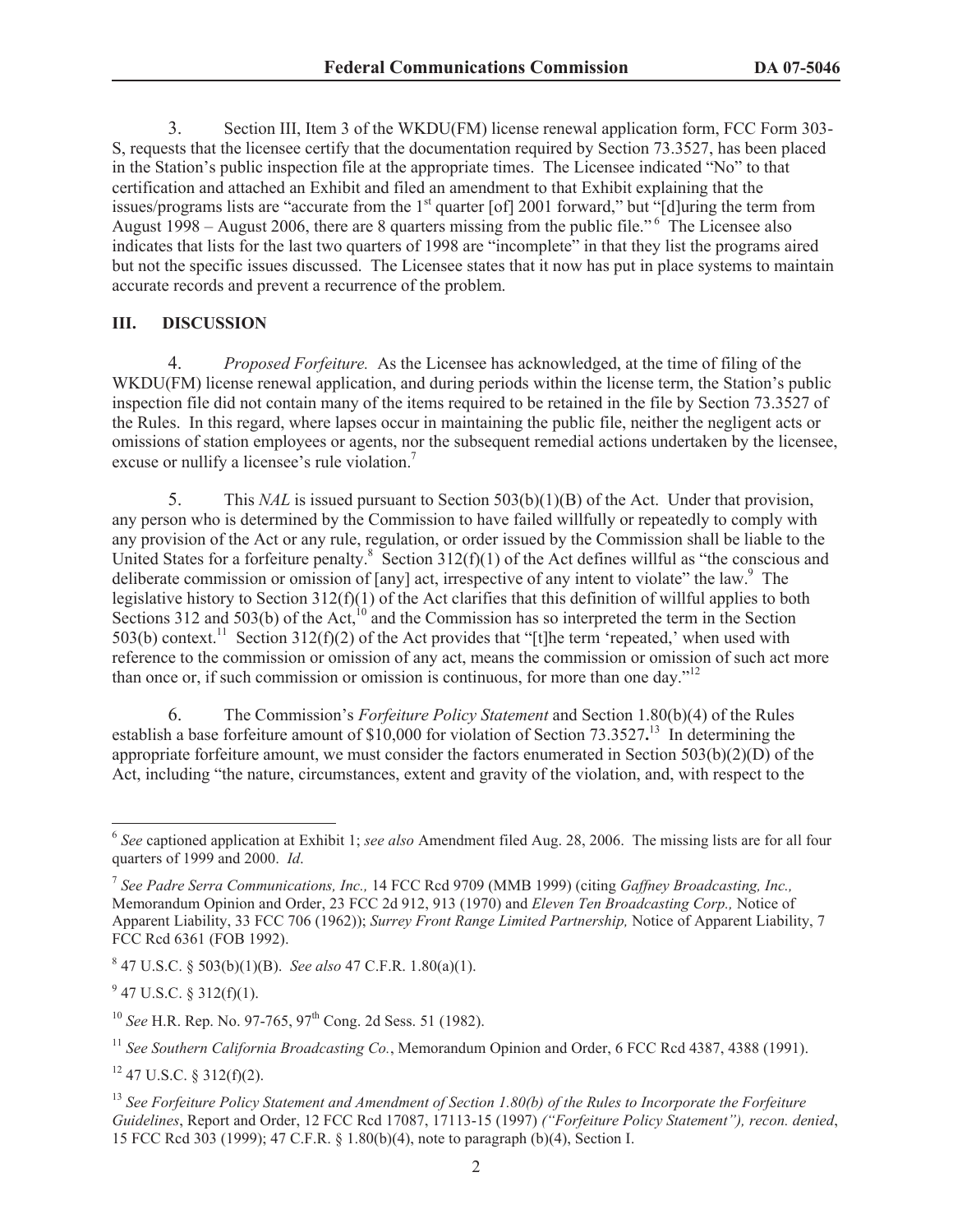3. Section III, Item 3 of the WKDU(FM) license renewal application form, FCC Form 303- S, requests that the licensee certify that the documentation required by Section 73.3527, has been placed in the Station's public inspection file at the appropriate times. The Licensee indicated "No" to that certification and attached an Exhibit and filed an amendment to that Exhibit explaining that the issues/programs lists are "accurate from the 1<sup>st</sup> quarter [of] 2001 forward," but "[d]uring the term from August 1998 – August 2006, there are 8 quarters missing from the public file."<sup> $6$ </sup> The Licensee also indicates that lists for the last two quarters of 1998 are "incomplete" in that they list the programs aired but not the specific issues discussed. The Licensee states that it now has put in place systems to maintain accurate records and prevent a recurrence of the problem.

### **III. DISCUSSION**

4. *Proposed Forfeiture.* As the Licensee has acknowledged, at the time of filing of the WKDU(FM) license renewal application, and during periods within the license term, the Station's public inspection file did not contain many of the items required to be retained in the file by Section 73.3527 of the Rules. In this regard, where lapses occur in maintaining the public file, neither the negligent acts or omissions of station employees or agents, nor the subsequent remedial actions undertaken by the licensee, excuse or nullify a licensee's rule violation.<sup>7</sup>

5. This *NAL* is issued pursuant to Section 503(b)(1)(B) of the Act. Under that provision, any person who is determined by the Commission to have failed willfully or repeatedly to comply with any provision of the Act or any rule, regulation, or order issued by the Commission shall be liable to the United States for a forfeiture penalty.<sup>8</sup> Section 312(f)(1) of the Act defines willful as "the conscious and deliberate commission or omission of [any] act, irrespective of any intent to violate" the law.<sup>9</sup> The legislative history to Section 312(f)(1) of the Act clarifies that this definition of willful applies to both Sections 312 and 503(b) of the Act,<sup>10</sup> and the Commission has so interpreted the term in the Section 503(b) context.<sup>11</sup> Section 312(f)(2) of the Act provides that "[t]he term 'repeated,' when used with reference to the commission or omission of any act, means the commission or omission of such act more than once or, if such commission or omission is continuous, for more than one day."<sup>12</sup>

6. The Commission's *Forfeiture Policy Statement* and Section 1.80(b)(4) of the Rules establish a base forfeiture amount of \$10,000 for violation of Section 73.3527<sup>13</sup> In determining the appropriate forfeiture amount, we must consider the factors enumerated in Section 503(b)(2)(D) of the Act, including "the nature, circumstances, extent and gravity of the violation, and, with respect to the

8 47 U.S.C. § 503(b)(1)(B). *See also* 47 C.F.R. 1.80(a)(1).

 $9$  47 U.S.C. § 312(f)(1).

<sup>10</sup> *See* H.R. Rep. No. 97-765, 97<sup>th</sup> Cong. 2d Sess. 51 (1982).

<sup>11</sup> See Southern California Broadcasting Co., Memorandum Opinion and Order, 6 FCC Rcd 4387, 4388 (1991).

 $12$  47 U.S.C. § 312(f)(2).

<sup>6</sup> *See* captioned application at Exhibit 1; *see also* Amendment filed Aug. 28, 2006. The missing lists are for all four quarters of 1999 and 2000. *Id*.

<sup>7</sup> *See Padre Serra Communications, Inc.,* 14 FCC Rcd 9709 (MMB 1999) (citing *Gaffney Broadcasting, Inc.,* Memorandum Opinion and Order, 23 FCC 2d 912, 913 (1970) and *Eleven Ten Broadcasting Corp.,* Notice of Apparent Liability, 33 FCC 706 (1962)); *Surrey Front Range Limited Partnership,* Notice of Apparent Liability, 7 FCC Rcd 6361 (FOB 1992).

<sup>13</sup> *See Forfeiture Policy Statement and Amendment of Section 1.80(b) of the Rules to Incorporate the Forfeiture Guidelines*, Report and Order, 12 FCC Rcd 17087, 17113-15 (1997) *("Forfeiture Policy Statement"), recon. denied*, 15 FCC Rcd 303 (1999); 47 C.F.R. § 1.80(b)(4), note to paragraph (b)(4), Section I.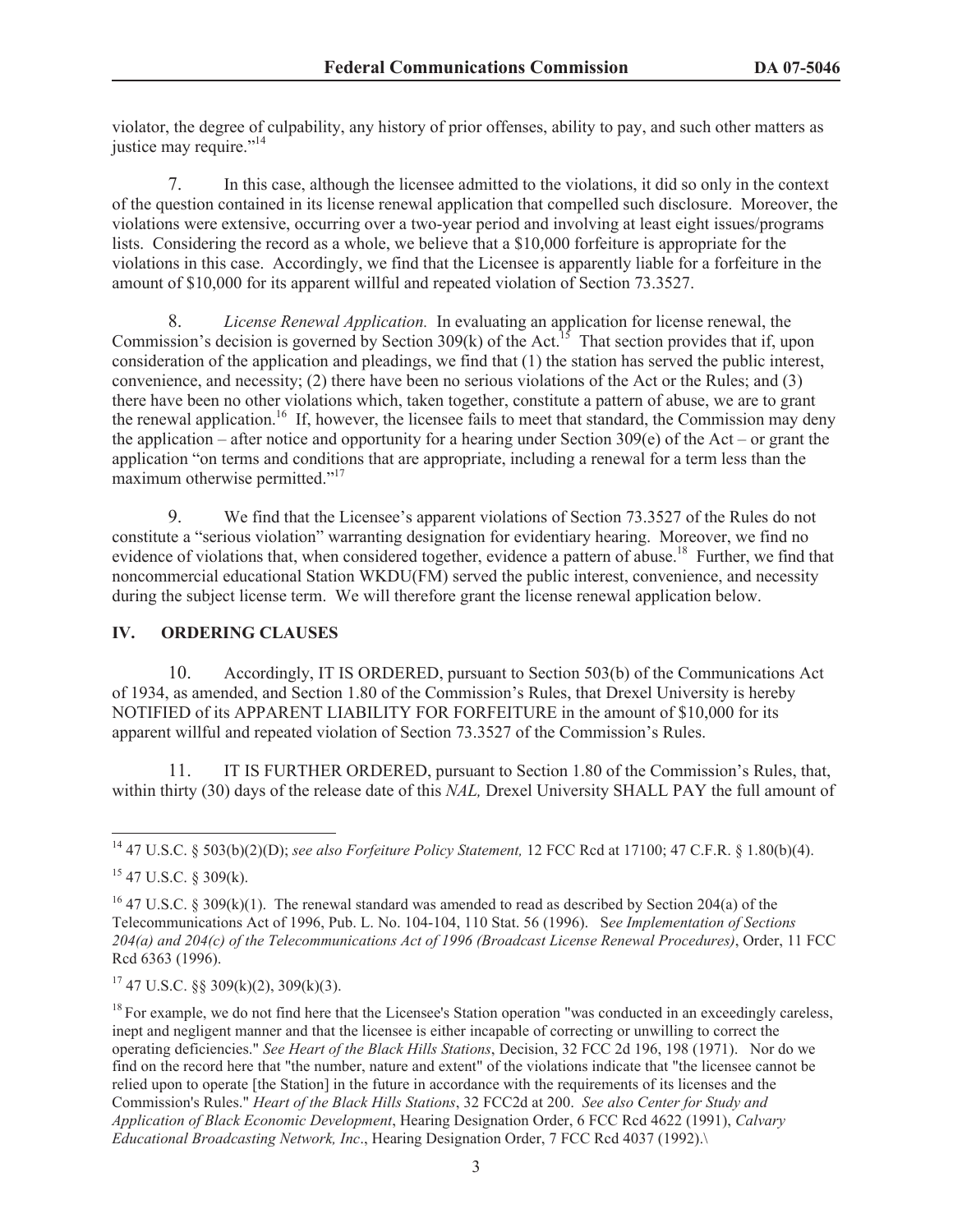violator, the degree of culpability, any history of prior offenses, ability to pay, and such other matters as justice may require."<sup>14</sup>

7. In this case, although the licensee admitted to the violations, it did so only in the context of the question contained in its license renewal application that compelled such disclosure. Moreover, the violations were extensive, occurring over a two-year period and involving at least eight issues/programs lists. Considering the record as a whole, we believe that a \$10,000 forfeiture is appropriate for the violations in this case. Accordingly, we find that the Licensee is apparently liable for a forfeiture in the amount of \$10,000 for its apparent willful and repeated violation of Section 73.3527.

8. *License Renewal Application.* In evaluating an application for license renewal, the Commission's decision is governed by Section 309(k) of the Act.<sup>15</sup> That section provides that if, upon consideration of the application and pleadings, we find that (1) the station has served the public interest, convenience, and necessity; (2) there have been no serious violations of the Act or the Rules; and (3) there have been no other violations which, taken together, constitute a pattern of abuse, we are to grant the renewal application.<sup>16</sup> If, however, the licensee fails to meet that standard, the Commission may deny the application – after notice and opportunity for a hearing under Section 309(e) of the Act – or grant the application "on terms and conditions that are appropriate, including a renewal for a term less than the maximum otherwise permitted."<sup>17</sup>

9. We find that the Licensee's apparent violations of Section 73.3527 of the Rules do not constitute a "serious violation" warranting designation for evidentiary hearing. Moreover, we find no evidence of violations that, when considered together, evidence a pattern of abuse.<sup>18</sup> Further, we find that noncommercial educational Station WKDU(FM) served the public interest, convenience, and necessity during the subject license term. We will therefore grant the license renewal application below.

# **IV. ORDERING CLAUSES**

10. Accordingly, IT IS ORDERED, pursuant to Section 503(b) of the Communications Act of 1934, as amended, and Section 1.80 of the Commission's Rules, that Drexel University is hereby NOTIFIED of its APPARENT LIABILITY FOR FORFEITURE in the amount of \$10,000 for its apparent willful and repeated violation of Section 73.3527 of the Commission's Rules.

11. IT IS FURTHER ORDERED, pursuant to Section 1.80 of the Commission's Rules, that, within thirty (30) days of the release date of this *NAL*, Drexel University SHALL PAY the full amount of

<sup>14</sup> 47 U.S.C. § 503(b)(2)(D); *see also Forfeiture Policy Statement,* 12 FCC Rcd at 17100; 47 C.F.R. § 1.80(b)(4).

 $15$  47 U.S.C. § 309(k).

<sup>&</sup>lt;sup>16</sup> 47 U.S.C. § 309(k)(1). The renewal standard was amended to read as described by Section 204(a) of the Telecommunications Act of 1996, Pub. L. No. 104-104, 110 Stat. 56 (1996). S*ee Implementation of Sections 204(a) and 204(c) of the Telecommunications Act of 1996 (Broadcast License Renewal Procedures)*, Order, 11 FCC Rcd 6363 (1996).

 $17$  47 U.S.C. §§ 309(k)(2), 309(k)(3).

 $18$  For example, we do not find here that the Licensee's Station operation "was conducted in an exceedingly careless, inept and negligent manner and that the licensee is either incapable of correcting or unwilling to correct the operating deficiencies." *See Heart of the Black Hills Stations*, Decision, 32 FCC 2d 196, 198 (1971). Nor do we find on the record here that "the number, nature and extent" of the violations indicate that "the licensee cannot be relied upon to operate [the Station] in the future in accordance with the requirements of its licenses and the Commission's Rules." *Heart of the Black Hills Stations*, 32 FCC2d at 200. *See also Center for Study and Application of Black Economic Development*, Hearing Designation Order, 6 FCC Rcd 4622 (1991), *Calvary Educational Broadcasting Network, Inc*., Hearing Designation Order, 7 FCC Rcd 4037 (1992).\